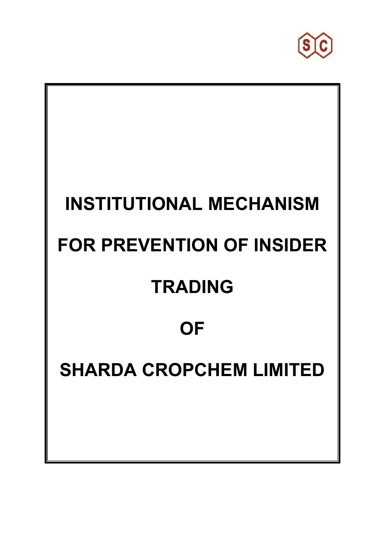

# **INSTITUTIONAL MECHANISM FOR PREVENTION OF INSIDER TRADING OF SHARDA CROPCHEM LIMITED**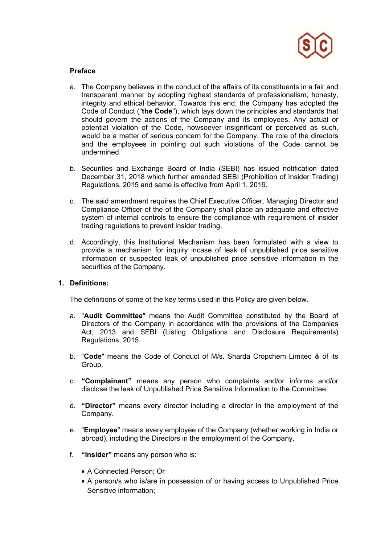

## **Preface**

- a. The Company believes in the conduct of the affairs of its constituents in a fair and transparent manner by adopting highest standards of professionalism, honesty, integrity and ethical behavior. Towards this end, the Company has adopted the Code of Conduct ("**the Code**"), which lays down the principles and standards that should govern the actions of the Company and its employees. Any actual or potential violation of the Code, howsoever insignificant or perceived as such, would be a matter of serious concern for the Company. The role of the directors and the employees in pointing out such violations of the Code cannot be undermined.
- b. Securities and Exchange Board of India (SEBI) has issued notification dated December 31, 2018 which further amended SEBI (Prohibition of Insider Trading) Regulations, 2015 and same is effective from April 1, 2019.
- c. The said amendment requires the Chief Executive Officer, Managing Director and Compliance Officer of the of the Company shall place an adequate and effective system of internal controls to ensure the compliance with requirement of insider trading regulations to prevent insider trading.
- d. Accordingly, this Institutional Mechanism has been formulated with a view to provide a mechanism for inquiry incase of leak of unpublished price sensitive information or suspected leak of unpublished price sensitive information in the securities of the Company.

# **1. Definitions:**

The definitions of some of the key terms used in this Policy are given below.

- a. "**Audit Committee**" means the Audit Committee constituted by the Board of Directors of the Company in accordance with the provisions of the Companies Act, 2013 and SEBI (Listing Obligations and Disclosure Requirements) Regulations, 2015.
- b. "**Code**" means the Code of Conduct of M/s. Sharda Cropchem Limited & of its Group.
- c. **"Complainant"** means any person who complaints and/or informs and/or disclose the leak of Unpublished Price Sensitive Information to the Committee.
- d. **"Director"** means every director including a director in the employment of the Company.
- e. "**Employee**" means every employee of the Company (whether working in India or abroad), including the Directors in the employment of the Company.
- f. **"Insider"** means any person who is:
	- A Connected Person; Or
	- A person/s who is/are in possession of or having access to Unpublished Price Sensitive information;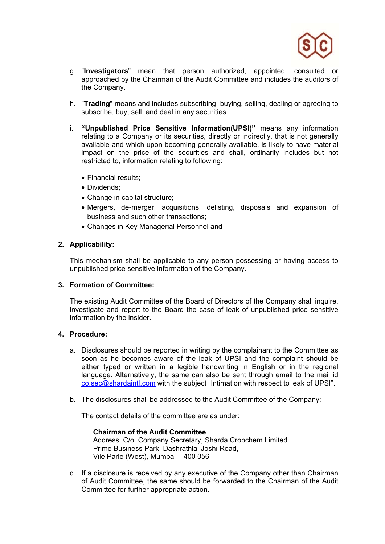

- g. "**Investigators**" mean that person authorized, appointed, consulted or approached by the Chairman of the Audit Committee and includes the auditors of the Company.
- h. "**Trading**" means and includes subscribing, buying, selling, dealing or agreeing to subscribe, buy, sell, and deal in any securities.
- i. **"Unpublished Price Sensitive Information(UPSI)"** means any information relating to a Company or its securities, directly or indirectly, that is not generally available and which upon becoming generally available, is likely to have material impact on the price of the securities and shall, ordinarily includes but not restricted to, information relating to following:
	- Financial results;
	- Dividends;
	- Change in capital structure;
	- Mergers, de-merger, acquisitions, delisting, disposals and expansion of business and such other transactions;
	- Changes in Key Managerial Personnel and

## **2. Applicability:**

This mechanism shall be applicable to any person possessing or having access to unpublished price sensitive information of the Company.

#### **3. Formation of Committee:**

The existing Audit Committee of the Board of Directors of the Company shall inquire, investigate and report to the Board the case of leak of unpublished price sensitive information by the insider.

#### **4. Procedure:**

- a. Disclosures should be reported in writing by the complainant to the Committee as soon as he becomes aware of the leak of UPSI and the complaint should be either typed or written in a legible handwriting in English or in the regional language. Alternatively, the same can also be sent through email to the mail id co.sec@shardaintl.com with the subject "Intimation with respect to leak of UPSI".
- b. The disclosures shall be addressed to the Audit Committee of the Company:

The contact details of the committee are as under:

**Chairman of the Audit Committee**  Address: C/o. Company Secretary, Sharda Cropchem Limited Prime Business Park, Dashrathlal Joshi Road, Vile Parle (West), Mumbai – 400 056

c. If a disclosure is received by any executive of the Company other than Chairman of Audit Committee, the same should be forwarded to the Chairman of the Audit Committee for further appropriate action.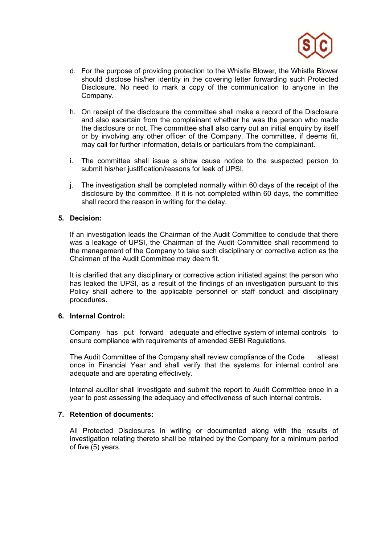

- d. For the purpose of providing protection to the Whistle Blower, the Whistle Blower should disclose his/her identity in the covering letter forwarding such Protected Disclosure. No need to mark a copy of the communication to anyone in the Company.
- h. On receipt of the disclosure the committee shall make a record of the Disclosure and also ascertain from the complainant whether he was the person who made the disclosure or not. The committee shall also carry out an initial enquiry by itself or by involving any other officer of the Company. The committee, if deems fit, may call for further information, details or particulars from the complainant.
- i. The committee shall issue a show cause notice to the suspected person to submit his/her justification/reasons for leak of UPSI.
- j. The investigation shall be completed normally within 60 days of the receipt of the disclosure by the committee. If it is not completed within 60 days, the committee shall record the reason in writing for the delay.

### **5. Decision:**

If an investigation leads the Chairman of the Audit Committee to conclude that there was a leakage of UPSI, the Chairman of the Audit Committee shall recommend to the management of the Company to take such disciplinary or corrective action as the Chairman of the Audit Committee may deem fit.

It is clarified that any disciplinary or corrective action initiated against the person who has leaked the UPSI, as a result of the findings of an investigation pursuant to this Policy shall adhere to the applicable personnel or staff conduct and disciplinary procedures.

### **6. Internal Control:**

Company has put forward adequate and effective system of internal controls to ensure compliance with requirements of amended SEBI Regulations.

The Audit Committee of the Company shall review compliance of the Code atleast once in Financial Year and shall verify that the systems for internal control are adequate and are operating effectively.

Internal auditor shall investigate and submit the report to Audit Committee once in a year to post assessing the adequacy and effectiveness of such internal controls.

## **7. Retention of documents:**

All Protected Disclosures in writing or documented along with the results of investigation relating thereto shall be retained by the Company for a minimum period of five (5) years.